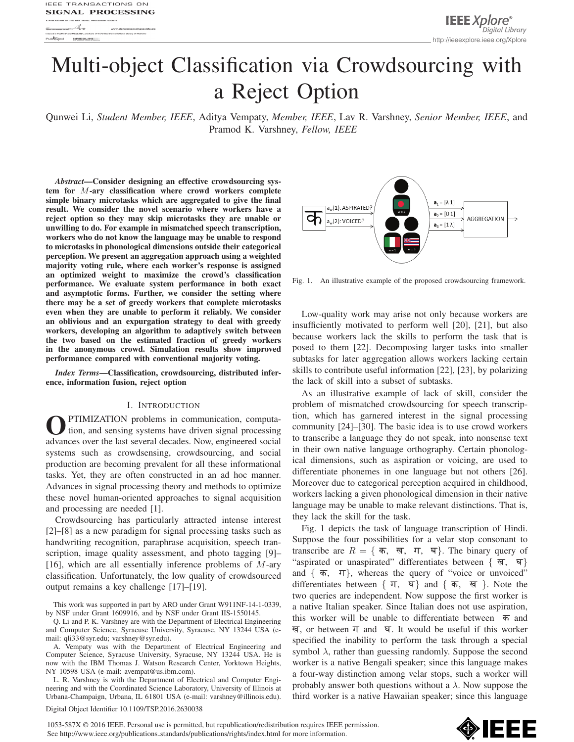# Multi-object Classification via Crowdsourcing with a Reject Option

Qunwei Li, *Student Member, IEEE*, Aditya Vempaty, *Member, IEEE*, Lav R. Varshney, *Senior Member, IEEE*, and Pramod K. Varshney, *Fellow, IEEE*

*Abstract*—Consider designing an effective crowdsourcing system for M-ary classification where crowd workers complete simple binary microtasks which are aggregated to give the final result. We consider the novel scenario where workers have a reject option so they may skip microtasks they are unable or unwilling to do. For example in mismatched speech transcription, workers who do not know the language may be unable to respond to microtasks in phonological dimensions outside their categorical perception. We present an aggregation approach using a weighted majority voting rule, where each worker's response is assigned an optimized weight to maximize the crowd's classification performance. We evaluate system performance in both exact and asymptotic forms. Further, we consider the setting where there may be a set of greedy workers that complete microtasks even when they are unable to perform it reliably. We consider an oblivious and an expurgation strategy to deal with greedy workers, developing an algorithm to adaptively switch between the two based on the estimated fraction of greedy workers in the anonymous crowd. Simulation results show improved performance compared with conventional majority voting.

*Index Terms*—Classification, crowdsourcing, distributed inference, information fusion, reject option

## I. INTRODUCTION

OPTIMIZATION problems in communication, computation, and sensing systems have driven signal processing advances over the last several decades. Now, engineered social systems such as crowdsensing, crowdsourcing, and social production are becoming prevalent for all these informational tasks. Yet, they are often constructed in an ad hoc manner. Advances in signal processing theory and methods to optimize these novel human-oriented approaches to signal acquisition and processing are needed [1].

Crowdsourcing has particularly attracted intense interest [2]–[8] as a new paradigm for signal processing tasks such as handwriting recognition, paraphrase acquisition, speech transcription, image quality assessment, and photo tagging [9]– [16], which are all essentially inference problems of  $M$ -ary classification. Unfortunately, the low quality of crowdsourced output remains a key challenge [17]–[19].

This work was supported in part by ARO under Grant W911NF-14-1-0339, by NSF under Grant 1609916, and by NSF under Grant IIS-1550145.

Q. Li and P. K. Varshney are with the Department of Electrical Engineering and Computer Science, Syracuse University, Syracuse, NY 13244 USA (email: qli33@syr.edu; varshney@syr.edu).

A. Vempaty was with the Department of Electrical Engineering and Computer Science, Syracuse University, Syracuse, NY 13244 USA. He is now with the IBM Thomas J. Watson Research Center, Yorktown Heights, NY 10598 USA (e-mail: avempat@us.ibm.com).

L. R. Varshney is with the Department of Electrical and Computer Engineering and with the Coordinated Science Laboratory, University of Illinois at Urbana-Champaign, Urbana, IL 61801 USA (e-mail: varshney@illinois.edu).



Fig. 1. An illustrative example of the proposed crowdsourcing framework.

Low-quality work may arise not only because workers are insufficiently motivated to perform well [20], [21], but also because workers lack the skills to perform the task that is posed to them [22]. Decomposing larger tasks into smaller subtasks for later aggregation allows workers lacking certain skills to contribute useful information [22], [23], by polarizing the lack of skill into a subset of subtasks.

As an illustrative example of lack of skill, consider the problem of mismatched crowdsourcing for speech transcription, which has garnered interest in the signal processing community [24]–[30]. The basic idea is to use crowd workers to transcribe a language they do not speak, into nonsense text in their own native language orthography. Certain phonological dimensions, such as aspiration or voicing, are used to differentiate phonemes in one language but not others [26]. Moreover due to categorical perception acquired in childhood, workers lacking a given phonological dimension in their native language may be unable to make relevant distinctions. That is, they lack the skill for the task.

Fig. 1 depicts the task of language transcription of Hindi. Suppose the four possibilities for a velar stop consonant to transcribe are  $R = \{ \overline{\mathbf{a}}, \overline{\mathbf{w}}, \overline{\mathbf{v}}, \overline{\mathbf{w}} \}$ . The binary query of "aspirated or unaspirated" differentiates between  $\mathcal{F}$ "aspirated or unaspirated" differentiates between  $\{ \overline{\mathbf{q}}, \overline{\mathbf{q}} \}$ and  $\{\bar{\mathbf{\sigma}}, \bar{\mathbf{\tau}}\}$ , whereas the query of "voice or unvoiced" differentiates between  $\{\bar{\pi}, \bar{\pi}\}$  and  $\{\bar{\pi}, \bar{\pi}\}$ . Note the two queries are independent. Now suppose the first worker is a native Italian speaker. Since Italian does not use aspiration, this worker will be unable to differentiate between  $\overline{p}$  and ख, or between  $\Pi$  and  $\Pi$ . It would be useful if this worker specified the inability to perform the task through a special symbol  $\lambda$ , rather than guessing randomly. Suppose the second worker is a native Bengali speaker; since this language makes a four-way distinction among velar stops, such a worker will probably answer both questions without a  $\lambda$ . Now suppose the third worker is a native Hawaiian speaker; since this language

Digital Object Identifier 10.1109/TSP.2016.2630038

1053-587X © 2016 IEEE. Personal use is permitted, but republication/redistribution requires IEEE permission. See http://www.ieee.org/publications\_standards/publications/rights/index.html for more information.

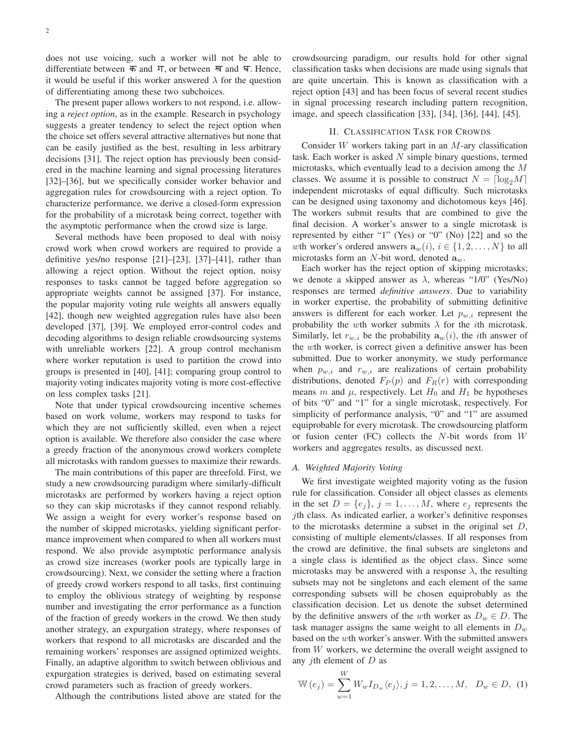does not use voicing, such a worker will not be able to differentiate between  $\overline{\phi}$  and  $\Pi$ , or between  $\overline{\phi}$  and  $\overline{\phi}$ . Hence, it would be useful if this worker answered  $\lambda$  for the question of differentiating among these two subchoices.

The present paper allows workers to not respond, i.e. allowing a *reject option*, as in the example. Research in psychology suggests a greater tendency to select the reject option when the choice set offers several attractive alternatives but none that can be easily justified as the best, resulting in less arbitrary decisions [31]. The reject option has previously been considered in the machine learning and signal processing literatures [32]–[36], but we specifically consider worker behavior and aggregation rules for crowdsourcing with a reject option. To characterize performance, we derive a closed-form expression for the probability of a microtask being correct, together with the asymptotic performance when the crowd size is large.

Several methods have been proposed to deal with noisy crowd work when crowd workers are required to provide a definitive yes/no response [21]–[23], [37]–[41], rather than allowing a reject option. Without the reject option, noisy responses to tasks cannot be tagged before aggregation so appropriate weights cannot be assigned [37]. For instance, the popular majority voting rule weights all answers equally [42], though new weighted aggregation rules have also been developed [37], [39]. We employed error-control codes and decoding algorithms to design reliable crowdsourcing systems with unreliable workers [22]. A group control mechanism where worker reputation is used to partition the crowd into groups is presented in [40], [41]; comparing group control to majority voting indicates majority voting is more cost-effective on less complex tasks [21].

Note that under typical crowdsourcing incentive schemes based on work volume, workers may respond to tasks for which they are not sufficiently skilled, even when a reject option is available. We therefore also consider the case where a greedy fraction of the anonymous crowd workers complete all microtasks with random guesses to maximize their rewards.

The main contributions of this paper are threefold. First, we study a new crowdsourcing paradigm where similarly-difficult microtasks are performed by workers having a reject option so they can skip microtasks if they cannot respond reliably. We assign a weight for every worker's response based on the number of skipped microtasks, yielding significant performance improvement when compared to when all workers must respond. We also provide asymptotic performance analysis as crowd size increases (worker pools are typically large in crowdsourcing). Next, we consider the setting where a fraction of greedy crowd workers respond to all tasks, first continuing to employ the oblivious strategy of weighting by response number and investigating the error performance as a function of the fraction of greedy workers in the crowd. We then study another strategy, an expurgation strategy, where responses of workers that respond to all microtasks are discarded and the remaining workers' responses are assigned optimized weights. Finally, an adaptive algorithm to switch between oblivious and expurgation strategies is derived, based on estimating several crowd parameters such as fraction of greedy workers.

Although the contributions listed above are stated for the

crowdsourcing paradigm, our results hold for other signal classification tasks when decisions are made using signals that are quite uncertain. This is known as classification with a reject option [43] and has been focus of several recent studies in signal processing research including pattern recognition, image, and speech classification [33], [34], [36], [44], [45].

## II. CLASSIFICATION TASK FOR CROWDS

Consider  $W$  workers taking part in an  $M$ -ary classification task. Each worker is asked  $N$  simple binary questions, termed microtasks, which eventually lead to a decision among the M classes. We assume it is possible to construct  $N = \lceil \log_2 M \rceil$ <br>independent microtasks of equal difficulty. Such microtasks independent microtasks of equal difficulty. Such microtasks can be designed using taxonomy and dichotomous keys [46]. The workers submit results that are combined to give the final decision. A worker's answer to a single microtask is represented by either "1" (Yes) or "0" (No) [22] and so the wth worker's ordered answers  $\mathbf{a}_w(i)$ ,  $i \in \{1, 2, ..., N\}$  to all microtasks form an N-bit word, denoted **a**w.

Each worker has the reject option of skipping microtasks; we denote a skipped answer as  $\lambda$ , whereas "1/0" (Yes/No) responses are termed *definitive answers*. Due to variability in worker expertise, the probability of submitting definitive answers is different for each worker. Let  $p_{w,i}$  represent the probability the wth worker submits  $\lambda$  for the *i*th microtask. Similarly, let  $r_{w,i}$  be the probability  $\mathbf{a}_w(i)$ , the *i*th answer of the wth worker, is correct given a definitive answer has been submitted. Due to worker anonymity, we study performance when  $p_{w,i}$  and  $r_{w,i}$  are realizations of certain probability distributions, denoted  $F_P(p)$  and  $F_R(r)$  with corresponding means m and  $\mu$ , respectively. Let  $H_0$  and  $H_1$  be hypotheses of bits "0" and "1" for a single microtask, respectively. For simplicity of performance analysis, "0" and "1" are assumed equiprobable for every microtask. The crowdsourcing platform or fusion center (FC) collects the  $N$ -bit words from  $W$ workers and aggregates results, as discussed next.

## *A. Weighted Majority Voting*

We first investigate weighted majority voting as the fusion rule for classification. Consider all object classes as elements in the set  $D = \{e_i\}, j = 1, \ldots, M$ , where  $e_i$  represents the jth class. As indicated earlier, a worker's definitive responses to the microtasks determine a subset in the original set  $D$ , consisting of multiple elements/classes. If all responses from the crowd are definitive, the final subsets are singletons and a single class is identified as the object class. Since some microtasks may be answered with a response  $\lambda$ , the resulting subsets may not be singletons and each element of the same corresponding subsets will be chosen equiprobably as the classification decision. Let us denote the subset determined by the definitive answers of the wth worker as  $D_w \in D$ . The task manager assigns the same weight to all elements in  $D_w$ based on the wth worker's answer. With the submitted answers from W workers, we determine the overall weight assigned to any *j*th element of  $D$  as

$$
\mathbb{W}(e_j) = \sum_{w=1}^{W} W_w I_{D_w} \langle e_j \rangle, j = 1, 2, ..., M, \ D_w \in D, (1)
$$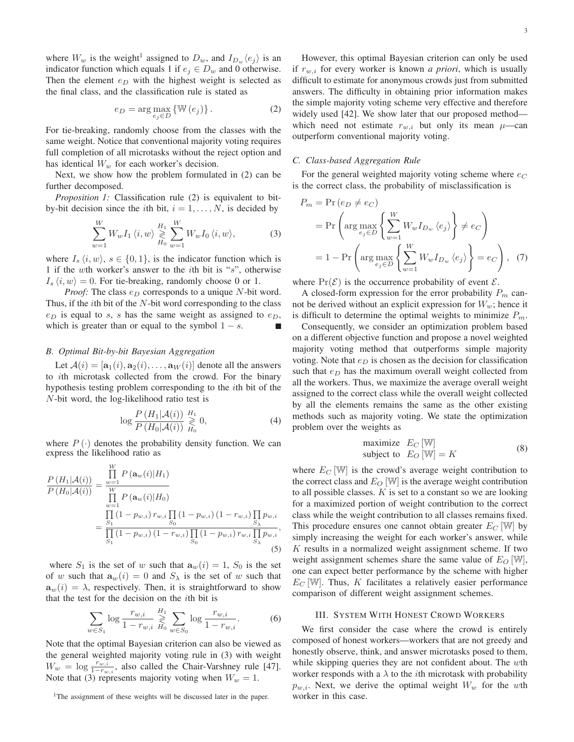where  $W_w$  is the weight<sup>1</sup> assigned to  $D_w$ , and  $I_{D_w}(e_i)$  is an indicator function which equals 1 if  $e_j \in D_w$  and 0 otherwise. Then the element  $e_D$  with the highest weight is selected as the final class, and the classification rule is stated as

$$
e_D = \arg\max_{e_j \in D} \{ \mathbb{W}(e_j) \}.
$$
 (2)

For tie-breaking, randomly choose from the classes with the same weight. Notice that conventional majority voting requires full completion of all microtasks without the reject option and has identical  $W_w$  for each worker's decision.

Next, we show how the problem formulated in (2) can be further decomposed.

*Proposition 1:* Classification rule (2) is equivalent to bitby-bit decision since the *i*th bit,  $i = 1, \ldots, N$ , is decided by

$$
\sum_{w=1}^{W} W_w I_1 \langle i, w \rangle \geqslant_{H_0}^{H_1} \sum_{w=1}^{W} W_w I_0 \langle i, w \rangle, \tag{3}
$$

where  $I_s \langle i, w \rangle$ ,  $s \in \{0, 1\}$ , is the indicator function which is 1 if the wth worker's answer to the ith bit is "s", otherwise  $I_s \langle i, w \rangle = 0$ . For tie-breaking, randomly choose 0 or 1.

*Proof:* The class  $e_D$  corresponds to a unique N-bit word. Thus, if the  $i$ th bit of the  $N$ -bit word corresponding to the class  $e_D$  is equal to s, s has the same weight as assigned to  $e_D$ , which is greater than or equal to the symbol  $1 - s$ .

# *B. Optimal Bit-by-bit Bayesian Aggregation*

Let  $A(i)=[\mathbf{a}_1(i), \mathbf{a}_2(i),\ldots, \mathbf{a}_W(i)]$  denote all the answers to ith microtask collected from the crowd. For the binary hypothesis testing problem corresponding to the ith bit of the N-bit word, the log-likelihood ratio test is

$$
\log \frac{P(H_1|\mathcal{A}(i))}{P(H_0|\mathcal{A}(i))} \underset{H_0}{\overset{H_1}{\geq}} 0,\tag{4}
$$

where  $P(\cdot)$  denotes the probability density function. We can express the likelihood ratio as

$$
\frac{P(H_1|\mathcal{A}(i))}{P(H_0|\mathcal{A}(i))} = \frac{\prod_{w=1}^{W} P(\mathbf{a}_w(i)|H_1)}{\prod_{w=1}^{W} P(\mathbf{a}_w(i)|H_0)}
$$
\n
$$
= \frac{\prod_{S_1} (1 - p_{w,i}) r_{w,i} \prod_{S_0} (1 - p_{w,i}) (1 - r_{w,i}) \prod_{S_\lambda} p_{w,i}}{\prod_{S_1} (1 - p_{w,i}) (1 - r_{w,i}) \prod_{S_0} (1 - p_{w,i}) r_{w,i} \prod_{S_\lambda} p_{w,i}},
$$
\n(5)

where  $S_1$  is the set of w such that  $\mathbf{a}_w(i)=1$ ,  $S_0$  is the set of w such that  $\mathbf{a}_w(i)=0$  and  $S_\lambda$  is the set of w such that  $\mathbf{a}_w(i) = \lambda$ , respectively. Then, it is straightforward to show that the test for the decision on the  $i$ th bit is

$$
\sum_{w \in S_1} \log \frac{r_{w,i}}{1 - r_{w,i}} \mathop{\gtrless}^H_{H_0} \sum_{w \in S_0} \log \frac{r_{w,i}}{1 - r_{w,i}}.
$$
 (6)

Note that the optimal Bayesian criterion can also be viewed as the general weighted majority voting rule in (3) with weight  $W_w = \log \frac{r_{w,i}}{1-r_{w,i}}$ , also called the Chair-Varshney rule [47]. Note that (3) represents majority voting when  $W_w = 1$ .

<sup>1</sup>The assignment of these weights will be discussed later in the paper.

However, this optimal Bayesian criterion can only be used if  $r_{w,i}$  for every worker is known *a priori*, which is usually difficult to estimate for anonymous crowds just from submitted answers. The difficulty in obtaining prior information makes the simple majority voting scheme very effective and therefore widely used [42]. We show later that our proposed method which need not estimate  $r_{w,i}$  but only its mean  $\mu$ —can outperform conventional majority voting.

#### *C. Class-based Aggregation Rule*

For the general weighted majority voting scheme where  $e_C$ is the correct class, the probability of misclassification is

$$
P_m = \Pr(e_D \neq e_C)
$$
  
= 
$$
\Pr\left(\arg\max_{e_j \in D} \left\{ \sum_{w=1}^W W_w I_{D_w} \langle e_j \rangle \right\} \neq e_C \right)
$$
  
= 
$$
1 - \Pr\left(\arg\max_{e_j \in D} \left\{ \sum_{w=1}^W W_w I_{D_w} \langle e_j \rangle \right\} = e_C \right), \quad (7)
$$

where  $Pr(\mathcal{E})$  is the occurrence probability of event  $\mathcal{E}$ .

A closed-form expression for the error probability  $P_m$  cannot be derived without an explicit expression for  $W_w$ ; hence it is difficult to determine the optimal weights to minimize  $P_m$ .

Consequently, we consider an optimization problem based on a different objective function and propose a novel weighted majority voting method that outperforms simple majority voting. Note that  $e_D$  is chosen as the decision for classification such that  $e_D$  has the maximum overall weight collected from all the workers. Thus, we maximize the average overall weight assigned to the correct class while the overall weight collected by all the elements remains the same as the other existing methods such as majority voting. We state the optimization problem over the weights as

maximize 
$$
E_C
$$
 [W]  
subject to  $E_O$  [W] = K (8)

where  $E_C$  [W] is the crowd's average weight contribution to the correct class and  $E_O$  [W] is the average weight contribution to all possible classes.  $K$  is set to a constant so we are looking for a maximized portion of weight contribution to the correct class while the weight contribution to all classes remains fixed. This procedure ensures one cannot obtain greater  $E_C$  [W] by simply increasing the weight for each worker's answer, while  $K$  results in a normalized weight assignment scheme. If two weight assignment schemes share the same value of  $E_O$  [W], one can expect better performance by the scheme with higher  $E_C$  [W]. Thus, K facilitates a relatively easier performance comparison of different weight assignment schemes.

#### III. SYSTEM WITH HONEST CROWD WORKERS

We first consider the case where the crowd is entirely composed of honest workers—workers that are not greedy and honestly observe, think, and answer microtasks posed to them, while skipping queries they are not confident about. The wth worker responds with a  $\lambda$  to the *i*th microtask with probability  $p_{w,i}$ . Next, we derive the optimal weight  $W_w$  for the wth worker in this case.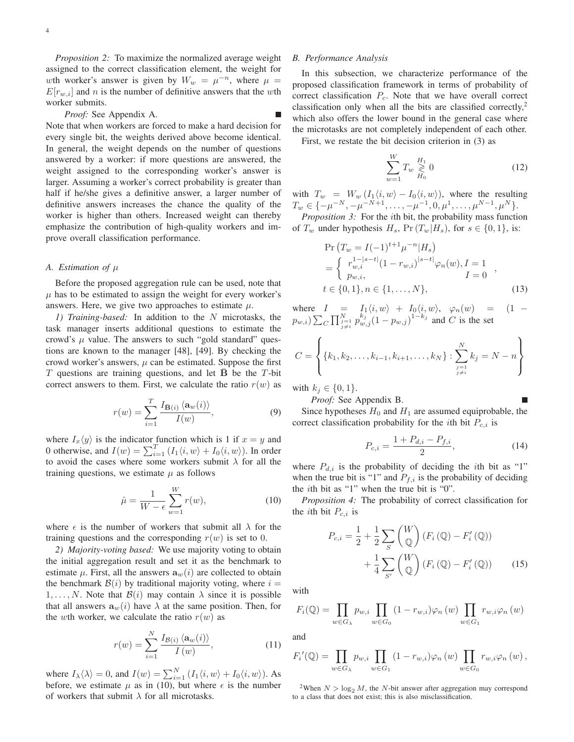*Proposition 2:* To maximize the normalized average weight assigned to the correct classification element, the weight for wth worker's answer is given by  $W_w = \mu^{-n}$ , where  $\mu =$  $E[r_{w,i}]$  and n is the number of definitive answers that the wth worker submits.

*Proof:* See Appendix A.

Note that when workers are forced to make a hard decision for every single bit, the weights derived above become identical. In general, the weight depends on the number of questions answered by a worker: if more questions are answered, the weight assigned to the corresponding worker's answer is larger. Assuming a worker's correct probability is greater than half if he/she gives a definitive answer, a larger number of definitive answers increases the chance the quality of the worker is higher than others. Increased weight can thereby emphasize the contribution of high-quality workers and improve overall classification performance.

## *A. Estimation of* μ

Before the proposed aggregation rule can be used, note that  $\mu$  has to be estimated to assign the weight for every worker's answers. Here, we give two approaches to estimate  $\mu$ .

*1) Training-based:* In addition to the N microtasks, the task manager inserts additional questions to estimate the crowd's  $\mu$  value. The answers to such "gold standard" questions are known to the manager [48], [49]. By checking the crowd worker's answers,  $\mu$  can be estimated. Suppose the first T questions are training questions, and let **B** be the T-bit correct answers to them. First, we calculate the ratio  $r(w)$  as

$$
r(w) = \sum_{i=1}^{T} \frac{I_{\bar{\mathbf{B}}(i)} \langle \mathbf{a}_{w}(i) \rangle}{I(w)},
$$
\n(9)

where  $I_x \langle y \rangle$  is the indicator function which is 1 if  $x = y$  and<br>0 otherwise, and  $I(w) = \sum_{i=1}^{T} (L/i, w) + L(i, w)$ . In order 0 otherwise, and  $I(w) = \sum_{i=1}^{T} (I_1 \langle i, w \rangle + I_0 \langle i, w \rangle)$ . In order to avoid the cases where some workers submit  $\lambda$  for all the to avoid the cases where some workers submit  $\lambda$  for all the training questions, we estimate  $\mu$  as follows

$$
\hat{\mu} = \frac{1}{W - \epsilon} \sum_{w=1}^{W} r(w),\tag{10}
$$

where  $\epsilon$  is the number of workers that submit all  $\lambda$  for the training questions and the corresponding  $r(w)$  is set to 0.

*2) Majority-voting based:* We use majority voting to obtain the initial aggregation result and set it as the benchmark to estimate  $\mu$ . First, all the answers  $\mathbf{a}_w(i)$  are collected to obtain the benchmark  $\mathcal{B}(i)$  by traditional majority voting, where  $i =$  $1, \ldots, N$ . Note that  $\mathcal{B}(i)$  may contain  $\lambda$  since it is possible that all answers  $\mathbf{a}_w(i)$  have  $\lambda$  at the same position. Then, for the wth worker, we calculate the ratio  $r(w)$  as

$$
r(w) = \sum_{i=1}^{N} \frac{I_{\mathcal{B}(i)} \langle \mathbf{a}_w(i) \rangle}{I(w)},
$$
\n(11)

where  $I_{\lambda}(\lambda) = 0$ , and  $I(w) = \sum_{i=1}^{N} (I_1\langle i, w \rangle + I_0\langle i, w \rangle)$ . As before, we estimate  $\mu$  as in (10), but where  $\epsilon$  is the number of workers that submit  $\lambda$  for all microtasks.

#### *B. Performance Analysis*

In this subsection, we characterize performance of the proposed classification framework in terms of probability of correct classification  $P_c$ . Note that we have overall correct classification only when all the bits are classified correctly, $2$ which also offers the lower bound in the general case where the microtasks are not completely independent of each other.

First, we restate the bit decision criterion in (3) as

$$
\sum_{w=1}^{W} T_w \underset{H_0}{\geq 0} 0 \tag{12}
$$

with  $T_w = W_w (I_1 \langle i, w \rangle - I_0 \langle i, w \rangle)$ , where the resulting  $T \in I_{-U} - N_{-U} - N_{+1} - I_0 U_1$  $T_w \in \{-\mu^{-N}, -\mu^{-N+1}, \ldots, -\mu^{-1}, 0, \mu^1, \ldots, \mu^{N-1}, \mu^N\}.$ <br>Proposition 3: For the *i*th bit, the probability mass function

*Proposition 3:* For the *i*th bit, the probability mass function of  $T_w$  under hypothesis  $H_s$ ,  $\Pr(T_w|H_s)$ , for  $s \in \{0,1\}$ , is:

$$
\Pr(T_w = I(-1)^{t+1} \mu^{-n} | H_s)
$$
  
= 
$$
\begin{cases} r_{w,i}^{1-|s-t|} (1 - r_{w,i})^{|s-t|} \varphi_n(w), I = 1 \\ p_{w,i}, & I = 0 \end{cases}
$$
,  
 $t \in \{0, 1\}, n \in \{1, ..., N\},$  (13)

where  $I = I_1\langle i, w \rangle + I_0\langle i, w \rangle$ ,  $\varphi_n(w) = (1$  $p_{w,i})\sum_{C} \prod_{\substack{j=1 \ j \neq i}}^{N} p_{w,j}^{k_j} (1 - p_{w,j})^{1-k_j}$  and C is the set  $\sqrt{ }$  $\mathcal{L}$ 

$$
C = \left\{ \{k_1, k_2, \ldots, k_{i-1}, k_{i+1}, \ldots, k_N\} : \sum_{\substack{j=1 \ j \neq i}}^N k_j = N - n \right\}
$$

with  $k_j \in \{0, 1\}.$ 

*Proof:* See Appendix B.

Since hypotheses  $H_0$  and  $H_1$  are assumed equiprobable, the correct classification probability for the *i*th bit  $P_{c,i}$  is

$$
P_{c,i} = \frac{1 + P_{d,i} - P_{f,i}}{2},\tag{14}
$$

where  $P_{d,i}$  is the probability of deciding the *i*th bit as "1" when the true bit is "1" and  $P_{f,i}$  is the probability of deciding the ith bit as "1" when the true bit is "0".

*Proposition 4:* The probability of correct classification for the *i*th bit  $P_{c,i}$  is

$$
P_{c,i} = \frac{1}{2} + \frac{1}{2} \sum_{S} \begin{pmatrix} W \\ \mathbb{Q} \end{pmatrix} (F_i(\mathbb{Q}) - F'_i(\mathbb{Q})) + \frac{1}{4} \sum_{S'} \begin{pmatrix} W \\ \mathbb{Q} \end{pmatrix} (F_i(\mathbb{Q}) - F'_i(\mathbb{Q})) \qquad (15)
$$

with

$$
F_i(\mathbb{Q}) = \prod_{w \in G_{\lambda}} p_{w,i} \prod_{w \in G_0} (1 - r_{w,i}) \varphi_n(w) \prod_{w \in G_1} r_{w,i} \varphi_n(w)
$$

and

$$
F_i'(\mathbb{Q}) = \prod_{w \in G_{\lambda}} p_{w,i} \prod_{w \in G_1} (1 - r_{w,i}) \varphi_n(w) \prod_{w \in G_0} r_{w,i} \varphi_n(w),
$$

<sup>2</sup>When  $N > log_2 M$ , the N-bit answer after aggregation may correspond to a class that does not exist; this is also misclassification.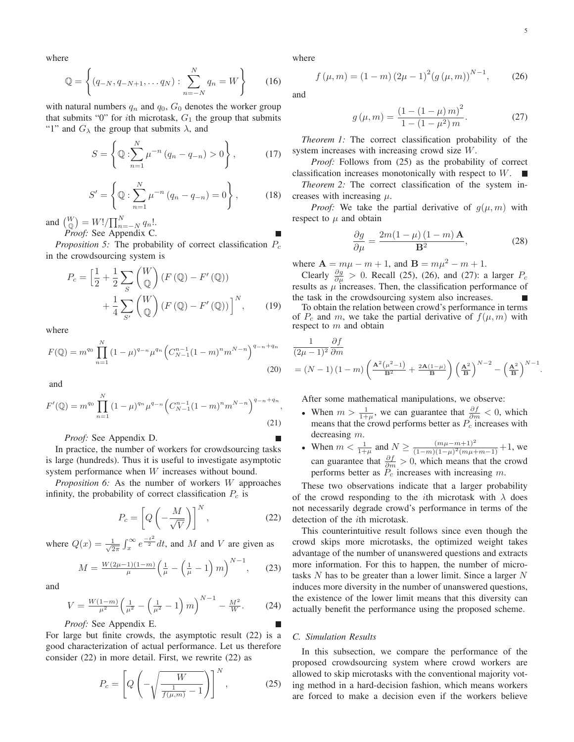.

where

$$
\mathbb{Q} = \left\{ (q_{-N}, q_{-N+1}, \dots q_N) : \sum_{n=-N}^{N} q_n = W \right\}
$$
 (16)

with natural numbers  $q_n$  and  $q_0$ ,  $G_0$  denotes the worker group that submits "0" for *i*th microtask,  $G_1$  the group that submits "1" and  $G_{\lambda}$  the group that submits  $\lambda$ , and

$$
S = \left\{ \mathbb{Q} : \sum_{n=1}^{N} \mu^{-n} (q_n - q_{-n}) > 0 \right\},\qquad(17)
$$

$$
S' = \left\{ \mathbb{Q} : \sum_{n=1}^{N} \mu^{-n} (q_n - q_{-n}) = 0 \right\},\qquad(18)
$$

and  $\begin{bmatrix} W \\ Q \end{bmatrix} = W!/ \prod_{n=-N}^{N} q_n!$ .<br>*Proof:* See Appendix C.

*Proposition 5:* The probability of correct classification  $P_c$ in the crowdsourcing system is

$$
P_c = \left[\frac{1}{2} + \frac{1}{2} \sum_{S} \binom{W}{Q} \left( F \left( \mathbb{Q} \right) - F' \left( \mathbb{Q} \right) \right) + \frac{1}{4} \sum_{S'} \binom{W}{Q} \left( F \left( \mathbb{Q} \right) - F' \left( \mathbb{Q} \right) \right) \right]^N, \qquad (19)
$$

where

$$
F(\mathbb{Q}) = m^{q_0} \prod_{n=1}^{N} (1 - \mu)^{q_{-n}} \mu^{q_n} \left( C_{N-1}^{n-1} (1 - m)^n m^{N-n} \right)^{q_{-n} + q_n}
$$
\n(20)

and

$$
F'(\mathbb{Q}) = m^{q_0} \prod_{n=1}^{N} (1 - \mu)^{q_n} \mu^{q_{-n}} \left( C_{N-1}^{n-1} (1 - m)^n m^{N-n} \right)^{q_{-n} + q_n},
$$
\n(21)

*Proof:* See Appendix D.

In practice, the number of workers for crowdsourcing tasks is large (hundreds). Thus it is useful to investigate asymptotic system performance when W increases without bound.

*Proposition 6:* As the number of workers W approaches infinity, the probability of correct classification  $P_c$  is

$$
P_c = \left[Q\left(-\frac{M}{\sqrt{V}}\right)\right]^N, \tag{22}
$$

where  $Q(x) = \frac{1}{\sqrt{2}}$  $\frac{1}{2\pi} \int_x^{\infty} e^{-\frac{t^2}{2}} dt$ , and M and V are given as

$$
M = \frac{W(2\mu - 1)(1 - m)}{\mu} \left(\frac{1}{\mu} - \left(\frac{1}{\mu} - 1\right)m\right)^{N - 1},\qquad(23)
$$

and

$$
V = \frac{W(1-m)}{\mu^2} \left(\frac{1}{\mu^2} - \left(\frac{1}{\mu^2} - 1\right)m\right)^{N-1} - \frac{M^2}{W}.
$$
 (24)

*Proof:* See Appendix E.

For large but finite crowds, the asymptotic result (22) is a good characterization of actual performance. Let us therefore consider (22) in more detail. First, we rewrite (22) as

$$
P_c = \left[ Q \left( -\sqrt{\frac{W}{\frac{1}{f(\mu, m)} - 1}} \right) \right]^N, \tag{25}
$$

where

$$
f(\mu, m) = (1 - m) (2\mu - 1)^{2} (g(\mu, m))^{N-1},
$$
 (26)

and

$$
g(\mu, m) = \frac{(1 - (1 - \mu) m)^2}{1 - (1 - \mu^2) m}.
$$
 (27)

*Theorem 1:* The correct classification probability of the system increases with increasing crowd size W.

*Proof:* Follows from (25) as the probability of correct classification increases monotonically with respect to W. п

*Theorem 2:* The correct classification of the system increases with increasing  $\mu$ .

*Proof:* We take the partial derivative of  $q(\mu, m)$  with respect to  $\mu$  and obtain

$$
\frac{\partial g}{\partial \mu} = \frac{2m(1-\mu)(1-m)\,\mathbf{A}}{\mathbf{B}^2},\tag{28}
$$

where  $A = m\mu - m + 1$ , and  $B = m\mu^2 - m + 1$ .

Clearly  $\frac{\partial g}{\partial \mu} > 0$ . Recall (25), (26), and (27): a larger  $P_c$  results as  $\mu$  increases. Then, the classification performance of the task in the crowdsourcing system also increases.

To obtain the relation between crowd's performance in terms of  $P_c$  and m, we take the partial derivative of  $f(\mu, m)$  with respect to  $m$  and obtain

$$
\frac{1}{(2\mu - 1)^2} \frac{\partial f}{\partial m}
$$
  
=  $(N - 1)(1 - m) \left( \frac{A^2 (\mu^2 - 1)}{B^2} + \frac{2A(1 - \mu)}{B} \right) \left( \frac{A^2}{B} \right)^{N - 2} - \left( \frac{A^2}{B} \right)^{N - 1}$ 

After some mathematical manipulations, we observe:

- When  $m > \frac{1}{1+\mu}$ , we can guarantee that  $\frac{\partial f}{\partial m} < 0$ , which means that the crowd performs better as  $P_c$  increases with decreasing m.
- When  $m < \frac{1}{1+\mu}$  and  $N \geq \frac{(m\mu-m+1)^2}{(1-m)(1-\mu)^2(m\mu+m-1)}+1$ , we can guarantee that  $\frac{\partial f}{\partial m} > 0$ , which means that the crowd performs better as  $\frac{\partial f}{\partial m}$  increases with increasing m performs better as  $P_c$  increases with increasing  $m$ .

These two observations indicate that a larger probability of the crowd responding to the *i*th microtask with  $\lambda$  does not necessarily degrade crowd's performance in terms of the detection of the ith microtask.

This counterintuitive result follows since even though the crowd skips more microtasks, the optimized weight takes advantage of the number of unanswered questions and extracts more information. For this to happen, the number of microtasks  $N$  has to be greater than a lower limit. Since a larger  $N$ induces more diversity in the number of unanswered questions, the existence of the lower limit means that this diversity can actually benefit the performance using the proposed scheme.

#### *C. Simulation Results*

In this subsection, we compare the performance of the proposed crowdsourcing system where crowd workers are allowed to skip microtasks with the conventional majority voting method in a hard-decision fashion, which means workers are forced to make a decision even if the workers believe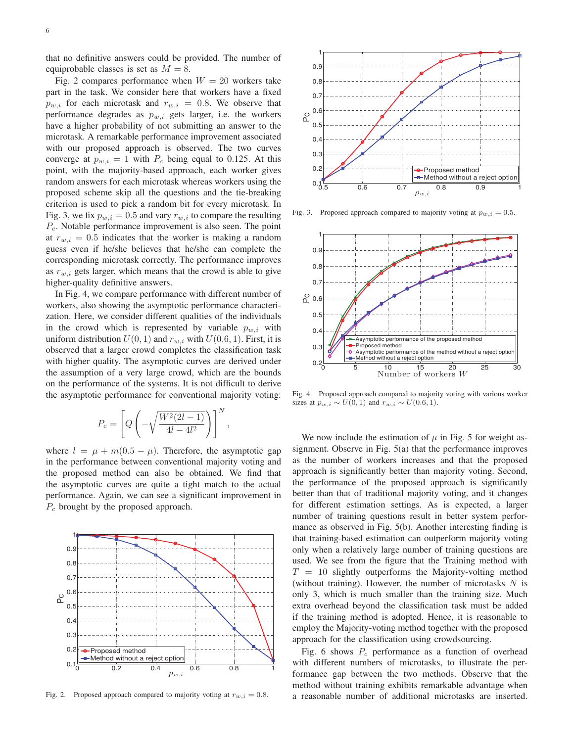that no definitive answers could be provided. The number of equiprobable classes is set as  $M = 8$ .

Fig. 2 compares performance when  $W = 20$  workers take part in the task. We consider here that workers have a fixed  $p_{w,i}$  for each microtask and  $r_{w,i} = 0.8$ . We observe that performance degrades as  $p_{w,i}$  gets larger, i.e. the workers have a higher probability of not submitting an answer to the microtask. A remarkable performance improvement associated with our proposed approach is observed. The two curves converge at  $p_{w,i} = 1$  with  $P_c$  being equal to 0.125. At this point, with the majority-based approach, each worker gives random answers for each microtask whereas workers using the proposed scheme skip all the questions and the tie-breaking criterion is used to pick a random bit for every microtask. In Fig. 3, we fix  $p_{w,i} = 0.5$  and vary  $r_{w,i}$  to compare the resulting  $P<sub>c</sub>$ . Notable performance improvement is also seen. The point at  $r_{w,i} = 0.5$  indicates that the worker is making a random guess even if he/she believes that he/she can complete the corresponding microtask correctly. The performance improves as  $r_{w,i}$  gets larger, which means that the crowd is able to give higher-quality definitive answers.

In Fig. 4, we compare performance with different number of workers, also showing the asymptotic performance characterization. Here, we consider different qualities of the individuals in the crowd which is represented by variable  $p_{w,i}$  with uniform distribution  $U(0, 1)$  and  $r_{w,i}$  with  $U(0.6, 1)$ . First, it is observed that a larger crowd completes the classification task with higher quality. The asymptotic curves are derived under the assumption of a very large crowd, which are the bounds on the performance of the systems. It is not difficult to derive the asymptotic performance for conventional majority voting:

$$
P_c = \left[Q\left(-\sqrt{\frac{W^2(2l-1)}{4l-4l^2}}\right)\right]^N
$$

,

where  $l = \mu + m(0.5 - \mu)$ . Therefore, the asymptotic gap in the performance between conventional majority voting and the proposed method can also be obtained. We find that the asymptotic curves are quite a tight match to the actual performance. Again, we can see a significant improvement in  $P_c$  brought by the proposed approach.



Fig. 2. Proposed approach compared to majority voting at  $r_{w,i} = 0.8$ .



Fig. 3. Proposed approach compared to majority voting at  $p_{w,i} = 0.5$ .



Fig. 4. Proposed approach compared to majority voting with various worker sizes at  $p_{w,i} \sim U(0, 1)$  and  $r_{w,i} \sim U(0.6, 1)$ .

We now include the estimation of  $\mu$  in Fig. 5 for weight assignment. Observe in Fig. 5(a) that the performance improves as the number of workers increases and that the proposed approach is significantly better than majority voting. Second, the performance of the proposed approach is significantly better than that of traditional majority voting, and it changes for different estimation settings. As is expected, a larger number of training questions result in better system performance as observed in Fig. 5(b). Another interesting finding is that training-based estimation can outperform majority voting only when a relatively large number of training questions are used. We see from the figure that the Training method with  $T = 10$  slightly outperforms the Majority-volting method (without training). However, the number of microtasks  $N$  is only 3, which is much smaller than the training size. Much extra overhead beyond the classification task must be added if the training method is adopted. Hence, it is reasonable to employ the Majority-voting method together with the proposed approach for the classification using crowdsourcing.

Fig. 6 shows  $P_c$  performance as a function of overhead with different numbers of microtasks, to illustrate the performance gap between the two methods. Observe that the method without training exhibits remarkable advantage when a reasonable number of additional microtasks are inserted.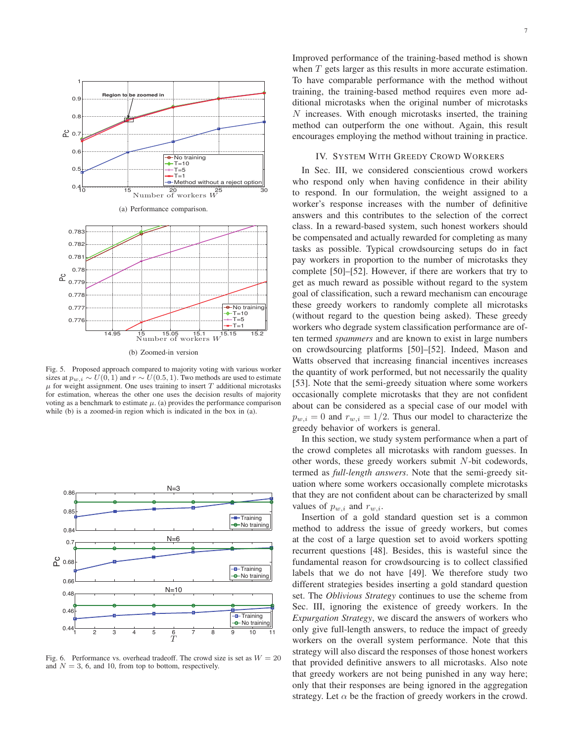

Fig. 5. Proposed approach compared to majority voting with various worker sizes at  $p_{w,i} \sim U(0, 1)$  and  $r \sim U(0.5, 1)$ . Two methods are used to estimate  $\mu$  for weight assignment. One uses training to insert T additional microtasks for estimation, whereas the other one uses the decision results of majority voting as a benchmark to estimate  $\mu$ . (a) provides the performance comparison while (b) is a zoomed-in region which is indicated in the box in (a).



Fig. 6. Performance vs. overhead tradeoff. The crowd size is set as  $W = 20$ and  $N = 3$ , 6, and 10, from top to bottom, respectively.

Improved performance of the training-based method is shown when T gets larger as this results in more accurate estimation. To have comparable performance with the method without training, the training-based method requires even more additional microtasks when the original number of microtasks  $N$  increases. With enough microtasks inserted, the training method can outperform the one without. Again, this result encourages employing the method without training in practice.

## IV. SYSTEM WITH GREEDY CROWD WORKERS

In Sec. III, we considered conscientious crowd workers who respond only when having confidence in their ability to respond. In our formulation, the weight assigned to a worker's response increases with the number of definitive answers and this contributes to the selection of the correct class. In a reward-based system, such honest workers should be compensated and actually rewarded for completing as many tasks as possible. Typical crowdsourcing setups do in fact pay workers in proportion to the number of microtasks they complete [50]–[52]. However, if there are workers that try to get as much reward as possible without regard to the system goal of classification, such a reward mechanism can encourage these greedy workers to randomly complete all microtasks (without regard to the question being asked). These greedy workers who degrade system classification performance are often termed *spammers* and are known to exist in large numbers on crowdsourcing platforms [50]–[52]. Indeed, Mason and Watts observed that increasing financial incentives increases the quantity of work performed, but not necessarily the quality [53]. Note that the semi-greedy situation where some workers occasionally complete microtasks that they are not confident about can be considered as a special case of our model with  $p_{w,i} = 0$  and  $r_{w,i} = 1/2$ . Thus our model to characterize the greedy behavior of workers is general.

In this section, we study system performance when a part of the crowd completes all microtasks with random guesses. In other words, these greedy workers submit  $N$ -bit codewords, termed as *full-length answers*. Note that the semi-greedy situation where some workers occasionally complete microtasks that they are not confident about can be characterized by small values of  $p_{w,i}$  and  $r_{w,i}$ .

Insertion of a gold standard question set is a common method to address the issue of greedy workers, but comes at the cost of a large question set to avoid workers spotting recurrent questions [48]. Besides, this is wasteful since the fundamental reason for crowdsourcing is to collect classified labels that we do not have [49]. We therefore study two different strategies besides inserting a gold standard question set. The *Oblivious Strategy* continues to use the scheme from Sec. III, ignoring the existence of greedy workers. In the *Expurgation Strategy*, we discard the answers of workers who only give full-length answers, to reduce the impact of greedy workers on the overall system performance. Note that this strategy will also discard the responses of those honest workers that provided definitive answers to all microtasks. Also note that greedy workers are not being punished in any way here; only that their responses are being ignored in the aggregation strategy. Let  $\alpha$  be the fraction of greedy workers in the crowd.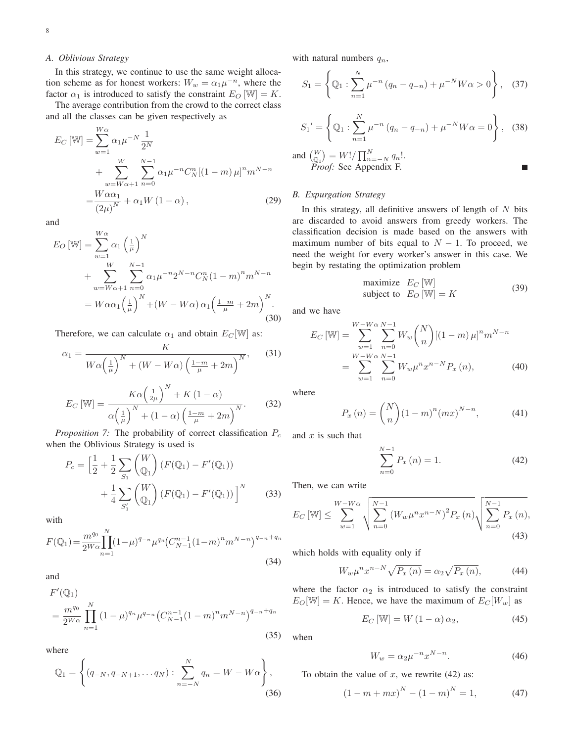## *A. Oblivious Strategy*

In this strategy, we continue to use the same weight allocation scheme as for honest workers:  $W_w = \alpha_1 \mu^{-n}$ , where the factor  $\alpha_1$  is introduced to satisfy the constraint  $E_O$  [W] = K.

The average contribution from the crowd to the correct class and all the classes can be given respectively as

$$
E_C \left[\mathbb{W}\right] = \sum_{w=1}^{W\alpha} \alpha_1 \mu^{-N} \frac{1}{2^N} + \sum_{w=W\alpha+1}^{W} \sum_{n=0}^{N-1} \alpha_1 \mu^{-n} C_N^n \left[ (1-m) \mu \right]^n m^{N-n} - \frac{W\alpha \alpha_1}{(2\mu)^N} + \alpha_1 W \left( 1 - \alpha \right), \tag{29}
$$

and

$$
E_O \left[\mathbb{W}\right] = \sum_{w=1}^{W\alpha} \alpha_1 \left(\frac{1}{\mu}\right)^N
$$
  
+ 
$$
\sum_{w=W\alpha+1}^{W} \sum_{n=0}^{N-1} \alpha_1 \mu^{-n} 2^{N-n} C_N^n (1-m)^n m^{N-n}
$$
  
= 
$$
W \alpha \alpha_1 \left(\frac{1}{\mu}\right)^N + (W - W\alpha) \alpha_1 \left(\frac{1-m}{\mu} + 2m\right)^N.
$$
(30)

Therefore, we can calculate  $\alpha_1$  and obtain  $E_C[\mathbb{W}]$  as:

$$
\alpha_1 = \frac{K}{W\alpha \left(\frac{1}{\mu}\right)^N + (W - W\alpha) \left(\frac{1-m}{\mu} + 2m\right)^N},\qquad(31)
$$

$$
E_C \left[\mathbb{W}\right] = \frac{K\alpha \left(\frac{1}{2\mu}\right)^N + K\left(1-\alpha\right)}{\alpha \left(\frac{1}{\mu}\right)^N + \left(1-\alpha\right) \left(\frac{1-m}{\mu} + 2m\right)^N}.
$$

*Proposition 7:* The probability of correct classification  $P_c$ when the Oblivious Strategy is used is

$$
P_c = \left[\frac{1}{2} + \frac{1}{2} \sum_{S_1} {W \choose \mathbb{Q}_1} (F(\mathbb{Q}_1) - F'(\mathbb{Q}_1)) + \frac{1}{4} \sum_{S_1'} {W \choose \mathbb{Q}_1} (F(\mathbb{Q}_1) - F'(\mathbb{Q}_1)) \right]^N
$$
(33)

with

$$
F(\mathbb{Q}_1) = \frac{m^{q_0}}{2^{W\alpha}} \prod_{n=1}^{N} (1-\mu)^{q_{-n}} \mu^{q_n} \left(C_{N-1}^{n-1} (1-m)^n m^{N-n}\right)^{q_{-n}+q_n}
$$
\n(34)

and

$$
F'(\mathbb{Q}_1)
$$
  
= 
$$
\frac{m^{q_0}}{2^{W\alpha}} \prod_{n=1}^N (1-\mu)^{q_n} \mu^{q_{-n}} \left(C_{N-1}^{n-1} (1-m)^n m^{N-n}\right)^{q_{-n}+q_n}
$$
 (35)

where

$$
\mathbb{Q}_1 = \left\{ (q_{-N}, q_{-N+1}, \dots q_N) : \sum_{n=-N}^{N} q_n = W - W\alpha \right\},\tag{36}
$$

with natural numbers  $q_n$ ,

$$
S_1 = \left\{ \mathbb{Q}_1 : \sum_{n=1}^{N} \mu^{-n} (q_n - q_{-n}) + \mu^{-N} W \alpha > 0 \right\}, \quad (37)
$$

$$
S_1' = \left\{ \mathbb{Q}_1 : \sum_{n=1}^{N} \mu^{-n} (q_n - q_{-n}) + \mu^{-N} W \alpha = 0 \right\}, \quad (38)
$$

and 
$$
\begin{pmatrix} W \\ \mathbb{Q}_1 \end{pmatrix} = W!/ \prod_{n=-N}^{N} q_n!
$$
.  
\n*Proof:* See Appendix F.

# *B. Expurgation Strategy*

In this strategy, all definitive answers of length of  $N$  bits are discarded to avoid answers from greedy workers. The classification decision is made based on the answers with maximum number of bits equal to  $N - 1$ . To proceed, we need the weight for every worker's answer in this case. We begin by restating the optimization problem

maximize 
$$
E_C
$$
 [W]  
subject to  $E_O$  [W] = K (39)

and we have

$$
E_C \left[\mathbb{W}\right] = \sum_{w=1}^{W-W\alpha} \sum_{n=0}^{N-1} W_w \binom{N}{n} \left[(1-m)\,\mu\right]^n m^{N-n}
$$

$$
= \sum_{w=1}^{W-W\alpha} \sum_{n=0}^{N-1} W_w \mu^n x^{n-N} P_x \left(n\right), \tag{40}
$$

where

$$
P_x(n) = {N \choose n} (1 - m)^n (mx)^{N - n},
$$
 (41)

and  $x$  is such that

$$
\sum_{n=0}^{N-1} P_x(n) = 1.
$$
 (42)

Then, we can write

$$
E_C \left[ \mathbb{W} \right] \le \sum_{w=1}^{W-W\alpha} \sqrt{\sum_{n=0}^{N-1} \left( W_w \mu^n x^{n-N} \right)^2 P_x(n)} \sqrt{\sum_{n=0}^{N-1} P_x(n)},
$$
\n(43)

which holds with equality only if

$$
W_w \mu^n x^{n-N} \sqrt{P_x(n)} = \alpha_2 \sqrt{P_x(n)},\tag{44}
$$

where the factor  $\alpha_2$  is introduced to satisfy the constraint  $E_O[\mathbb{W}] = K$ . Hence, we have the maximum of  $E_C[W_w]$  as

$$
E_C \left[ W \right] = W \left( 1 - \alpha \right) \alpha_2, \tag{45}
$$

when

$$
W_w = \alpha_2 \mu^{-n} x^{N-n}.
$$
\n(46)

To obtain the value of  $x$ , we rewrite (42) as:

$$
(1 - m + mx)^N - (1 - m)^N = 1,
$$
 (47)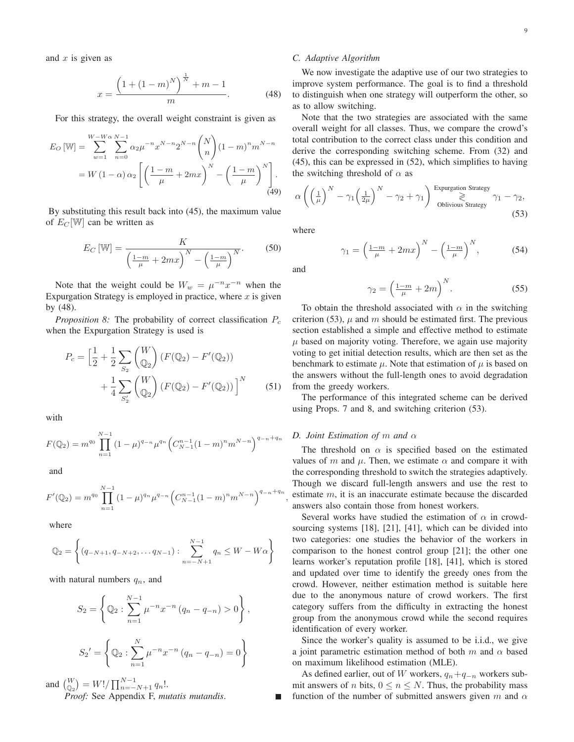$$
x = \frac{\left(1 + (1 - m)^N\right)^{\frac{1}{N}} + m - 1}{m}.
$$
 (48)

For this strategy, the overall weight constraint is given as

$$
E_O \text{ [W]} = \sum_{w=1}^{W-W\alpha} \sum_{n=0}^{N-1} \alpha_2 \mu^{-n} x^{N-n} 2^{N-n} \binom{N}{n} (1-m)^n m^{N-n}
$$
  
=  $W (1 - \alpha) \alpha_2 \left[ \left( \frac{1-m}{\mu} + 2mx \right)^N - \left( \frac{1-m}{\mu} \right)^N \right].$  (49)

By substituting this result back into (45), the maximum value of  $E_C$  [W] can be written as

$$
E_C \left[\mathbb{W}\right] = \frac{K}{\left(\frac{1-m}{\mu} + 2mx\right)^N - \left(\frac{1-m}{\mu}\right)^N}.
$$
 (50)

Note that the weight could be  $W_w = \mu^{-n} x^{-n}$  when the Expurgation Strategy is employed in practice, where  $x$  is given by (48).

*Proposition 8:* The probability of correct classification  $P_c$ when the Expurgation Strategy is used is

$$
P_c = \left[\frac{1}{2} + \frac{1}{2} \sum_{S_2} {W \choose Q_2} (F(Q_2) - F'(Q_2)) + \frac{1}{4} \sum_{S_2'} {W \choose Q_2} (F(Q_2) - F'(Q_2)) \right]^N
$$
(51)

with

$$
F(\mathbb{Q}_2) = m^{q_0} \prod_{n=1}^{N-1} (1 - \mu)^{q_{-n}} \mu^{q_n} \left( C_{N-1}^{n-1} (1 - m)^n m^{N-n} \right)^{q_{-n} + q_n}
$$

and

$$
F'(\mathbb{Q}_2) = m^{q_0} \prod_{n=1}^{N-1} (1-\mu)^{q_n} \mu^{q-n} \left( C_{N-1}^{n-1} (1-m)^n m^{N-n} \right)^{q_{-n}+q_n}
$$

where

$$
\mathbb{Q}_2 = \left\{ (q_{-N+1}, q_{-N+2}, \dots q_{N-1}) : \sum_{n=-N+1}^{N-1} q_n \le W - W\alpha \right\}
$$

with natural numbers  $q_n$ , and

$$
S_2 = \left\{ \mathbb{Q}_2 : \sum_{n=1}^{N-1} \mu^{-n} x^{-n} (q_n - q_{-n}) > 0 \right\},\,
$$
  

$$
S_2' = \left\{ \mathbb{Q}_2 : \sum_{n=1}^{N} \mu^{-n} x^{-n} (q_n - q_{-n}) = 0 \right\}
$$

and  $\begin{cases} W \\ \mathbb{Q}_2 \end{cases} = W! / \prod_{n=-N+1}^{N-1} q_n!$ .<br>*Proof:* See Appendix F, *mutatis mutandis.* 

#### *C. Adaptive Algorithm*

We now investigate the adaptive use of our two strategies to improve system performance. The goal is to find a threshold to distinguish when one strategy will outperform the other, so as to allow switching.

Note that the two strategies are associated with the same overall weight for all classes. Thus, we compare the crowd's total contribution to the correct class under this condition and derive the corresponding switching scheme. From (32) and (45), this can be expressed in (52), which simplifies to having the switching threshold of  $\alpha$  as

$$
\alpha \left( \left( \frac{1}{\mu} \right)^N - \gamma_1 \left( \frac{1}{2\mu} \right)^N - \gamma_2 + \gamma_1 \right) \underset{\text{Oblivious Strategy}}{\overset{\text{Expurgation Strategy}}{\geqslant}} \gamma_1 - \gamma_2,
$$
\n(53)

where

$$
\gamma_1 = \left(\frac{1-m}{\mu} + 2mx\right)^N - \left(\frac{1-m}{\mu}\right)^N,\tag{54}
$$

and

,

$$
\gamma_2 = \left(\frac{1-m}{\mu} + 2m\right)^N. \tag{55}
$$

To obtain the threshold associated with  $\alpha$  in the switching criterion (53),  $\mu$  and m should be estimated first. The previous section established a simple and effective method to estimate  $\mu$  based on majority voting. Therefore, we again use majority voting to get initial detection results, which are then set as the benchmark to estimate  $\mu$ . Note that estimation of  $\mu$  is based on the answers without the full-length ones to avoid degradation from the greedy workers.

The performance of this integrated scheme can be derived using Props. 7 and 8, and switching criterion (53).

## *D. Joint Estimation of* m *and* α

The threshold on  $\alpha$  is specified based on the estimated values of m and  $\mu$ . Then, we estimate  $\alpha$  and compare it with the corresponding threshold to switch the strategies adaptively. Though we discard full-length answers and use the rest to estimate m, it is an inaccurate estimate because the discarded answers also contain those from honest workers.

Several works have studied the estimation of  $\alpha$  in crowdsourcing systems [18], [21], [41], which can be divided into two categories: one studies the behavior of the workers in comparison to the honest control group [21]; the other one learns worker's reputation profile [18], [41], which is stored and updated over time to identify the greedy ones from the crowd. However, neither estimation method is suitable here due to the anonymous nature of crowd workers. The first category suffers from the difficulty in extracting the honest group from the anonymous crowd while the second requires identification of every worker.

Since the worker's quality is assumed to be i.i.d., we give a joint parametric estimation method of both m and  $\alpha$  based on maximum likelihood estimation (MLE).

As defined earlier, out of W workers,  $q_n+q_{-n}$  workers submit answers of *n* bits,  $0 \le n \le N$ . Thus, the probability mass function of the number of submitted answers given m and  $\alpha$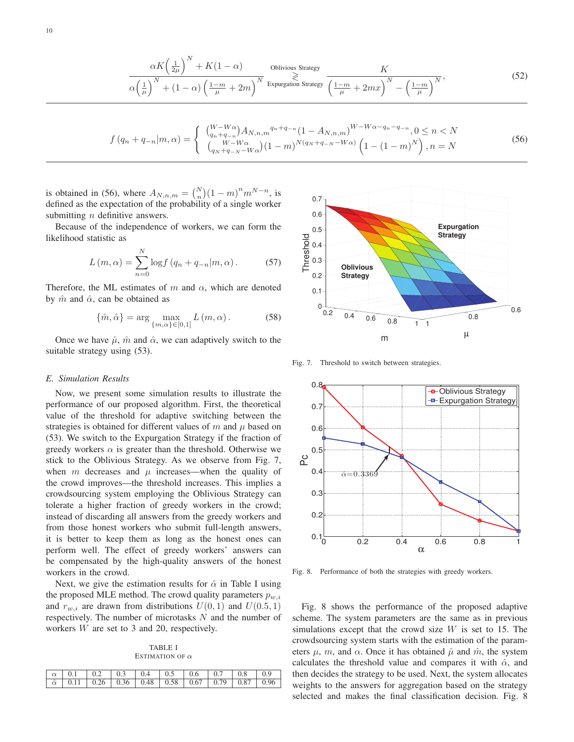$$
\frac{\alpha K \left(\frac{1}{2\mu}\right)^N + K(1-\alpha)}{\alpha \left(\frac{1}{\mu}\right)^N + (1-\alpha) \left(\frac{1-m}{\mu} + 2m\right)^N} \xrightarrow{\text{Espurgation Strategy}} \frac{K}{\left(\frac{1-m}{\mu} + 2mx\right)^N - \left(\frac{1-m}{\mu}\right)^N},\tag{52}
$$

$$
f(q_n + q_{-n}|m, \alpha) = \begin{cases} {W - W\alpha \choose q_n + q_{-n}} A_{N, n, m}^{q_n + q_{-n}} (1 - A_{N, n, m})^{W - W\alpha - q_n - q_{-n}}, 0 \le n < N \\ {W - W\alpha \choose q_N + q_{-N} - W\alpha} (1 - m)^{N(q_N + q_{-N} - W\alpha)} \left(1 - (1 - m)^N\right), n = N \end{cases} \tag{56}
$$

is obtained in (56), where  $A_{N,n,m} = {N \choose n} (1 - m)^n m^{N-n}$ , is defined as the expectation of the probability of a single worker defined as the expectation of the probability of a single worker submitting  $n$  definitive answers.

Because of the independence of workers, we can form the likelihood statistic as

$$
L(m, \alpha) = \sum_{n=0}^{N} \log f(q_n + q_{-n}|m, \alpha).
$$
 (57)

Therefore, the ML estimates of m and  $\alpha$ , which are denoted by  $\hat{m}$  and  $\hat{\alpha}$ , can be obtained as

$$
\{\hat{m}, \hat{\alpha}\} = \arg\max_{\{m,\alpha\} \in [0,1]} L(m,\alpha). \tag{58}
$$

Once we have  $\hat{\mu}$ ,  $\hat{m}$  and  $\hat{\alpha}$ , we can adaptively switch to the suitable strategy using (53).

## *E. Simulation Results*

Now, we present some simulation results to illustrate the performance of our proposed algorithm. First, the theoretical value of the threshold for adaptive switching between the strategies is obtained for different values of m and  $\mu$  based on (53). We switch to the Expurgation Strategy if the fraction of greedy workers  $\alpha$  is greater than the threshold. Otherwise we stick to the Oblivious Strategy. As we observe from Fig. 7, when m decreases and  $\mu$  increases—when the quality of the crowd improves—the threshold increases. This implies a crowdsourcing system employing the Oblivious Strategy can tolerate a higher fraction of greedy workers in the crowd; instead of discarding all answers from the greedy workers and from those honest workers who submit full-length answers, it is better to keep them as long as the honest ones can perform well. The effect of greedy workers' answers can be compensated by the high-quality answers of the honest workers in the crowd.

Next, we give the estimation results for  $\hat{\alpha}$  in Table I using the proposed MLE method. The crowd quality parameters  $p_{w,i}$ and  $r_{w,i}$  are drawn from distributions  $U(0, 1)$  and  $U(0.5, 1)$ respectively. The number of microtasks  $N$  and the number of workers W are set to 3 and 20, respectively.

TABLE I ESTIMATION OF  $\alpha$ 

| $\alpha$ 0.1 0.2 0.3 0.4 0.5 0.6 0.7 0.8 0.9                |  |  |  |  |
|-------------------------------------------------------------|--|--|--|--|
| $\hat{\alpha}$ 0.11 0.26 0.36 0.48 0.58 0.67 0.79 0.87 0.96 |  |  |  |  |
|                                                             |  |  |  |  |



Fig. 7. Threshold to switch between strategies.



Fig. 8. Performance of both the strategies with greedy workers.

Fig. 8 shows the performance of the proposed adaptive scheme. The system parameters are the same as in previous simulations except that the crowd size  $W$  is set to 15. The crowdsourcing system starts with the estimation of the parameters  $\mu$ , m, and  $\alpha$ . Once it has obtained  $\hat{\mu}$  and  $\hat{m}$ , the system calculates the threshold value and compares it with  $\hat{\alpha}$ , and then decides the strategy to be used. Next, the system allocates weights to the answers for aggregation based on the strategy selected and makes the final classification decision. Fig. 8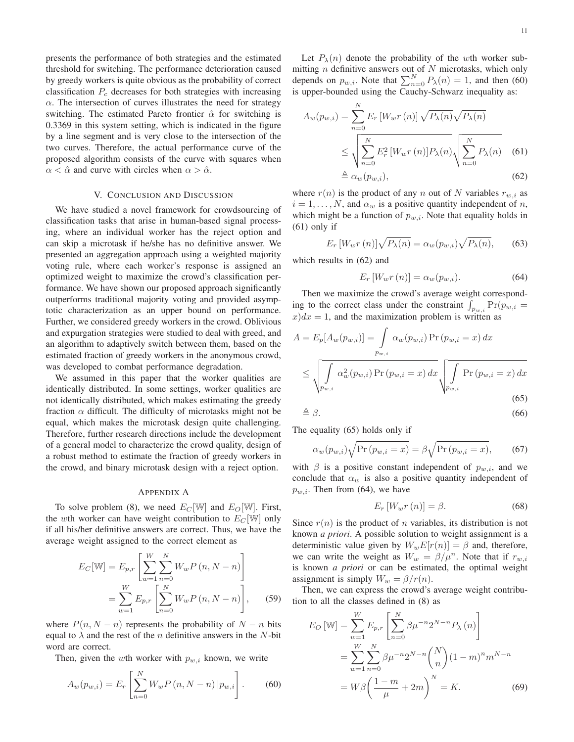presents the performance of both strategies and the estimated threshold for switching. The performance deterioration caused by greedy workers is quite obvious as the probability of correct classification  $P_c$  decreases for both strategies with increasing  $\alpha$ . The intersection of curves illustrates the need for strategy switching. The estimated Pareto frontier  $\hat{\alpha}$  for switching is 0.3369 in this system setting, which is indicated in the figure by a line segment and is very close to the intersection of the two curves. Therefore, the actual performance curve of the proposed algorithm consists of the curve with squares when  $\alpha < \hat{\alpha}$  and curve with circles when  $\alpha > \hat{\alpha}$ .

## V. CONCLUSION AND DISCUSSION

We have studied a novel framework for crowdsourcing of classification tasks that arise in human-based signal processing, where an individual worker has the reject option and can skip a microtask if he/she has no definitive answer. We presented an aggregation approach using a weighted majority voting rule, where each worker's response is assigned an optimized weight to maximize the crowd's classification performance. We have shown our proposed approach significantly outperforms traditional majority voting and provided asymptotic characterization as an upper bound on performance. Further, we considered greedy workers in the crowd. Oblivious and expurgation strategies were studied to deal with greed, and an algorithm to adaptively switch between them, based on the estimated fraction of greedy workers in the anonymous crowd, was developed to combat performance degradation.

We assumed in this paper that the worker qualities are identically distributed. In some settings, worker qualities are not identically distributed, which makes estimating the greedy fraction  $\alpha$  difficult. The difficulty of microtasks might not be equal, which makes the microtask design quite challenging. Therefore, further research directions include the development of a general model to characterize the crowd quality, design of a robust method to estimate the fraction of greedy workers in the crowd, and binary microtask design with a reject option.

## APPENDIX A

To solve problem (8), we need  $E_C[\mathbb{W}]$  and  $E_O[\mathbb{W}]$ . First, the wth worker can have weight contribution to  $E_C[\mathbb{W}]$  only if all his/her definitive answers are correct. Thus, we have the average weight assigned to the correct element as

$$
E_C[\mathbb{W}] = E_{p,r} \left[ \sum_{w=1}^{W} \sum_{n=0}^{N} W_w P(n, N-n) \right]
$$
  
= 
$$
\sum_{w=1}^{W} E_{p,r} \left[ \sum_{n=0}^{N} W_w P(n, N-n) \right],
$$
 (59)

where  $P(n, N - n)$  represents the probability of  $N - n$  bits equal to  $\lambda$  and the rest of the *n* definitive answers in the *N*-bit word are correct.

Then, given the wth worker with  $p_{w,i}$  known, we write

$$
A_w(p_{w,i}) = E_r \left[ \sum_{n=0}^{N} W_w P(n, N-n) | p_{w,i} \right].
$$
 (60)

Let  $P_{\lambda}(n)$  denote the probability of the wth worker submitting  $n$  definitive answers out of  $N$  microtasks, which only depends on  $p_{w,i}$ . Note that  $\sum_{n=0}^{N} P_{\lambda}(n) = 1$ , and then (60) is upper-bounded using the Cauchy-Schwarz inequality as: is upper-bounded using the Cauchy-Schwarz inequality as:

$$
A_w(p_{w,i}) = \sum_{n=0}^{N} E_r \left[ W_w r(n) \right] \sqrt{P_{\lambda}(n)} \sqrt{P_{\lambda}(n)}
$$
  
\n
$$
\leq \sqrt{\sum_{n=0}^{N} E_r^2 \left[ W_w r(n) \right] P_{\lambda}(n)} \sqrt{\sum_{n=0}^{N} P_{\lambda}(n)} \quad (61)
$$
  
\n
$$
\triangleq \alpha_w(p_{w,i}), \qquad (62)
$$

where  $r(n)$  is the product of any n out of N variables  $r_{w,i}$  as  $i = 1, \ldots, N$ , and  $\alpha_w$  is a positive quantity independent of n, which might be a function of  $p_{w,i}$ . Note that equality holds in  $(61)$  only if

$$
E_r\left[W_wr\left(n\right)\right]\sqrt{P_\lambda(n)} = \alpha_w(p_{w,i})\sqrt{P_\lambda(n)},\tag{63}
$$

which results in (62) and

$$
E_r\left[W_w r\left(n\right)\right] = \alpha_w(p_{w,i}).\tag{64}
$$

Then we maximize the crowd's average weight corresponding to the correct class under the constraint  $\int_{p_{w,i}} Pr(p_{w,i} = x) dx = 1$  and the maximization problem is written as  $x)dx = 1$ , and the maximization problem is written as

$$
A = E_p[A_w(p_{w,i})] = \int_{p_{w,i}} \alpha_w(p_{w,i}) \Pr(p_{w,i} = x) dx
$$
  

$$
\leq \sqrt{\int_{p_{w,i}} \alpha_w^2(p_{w,i}) \Pr(p_{w,i} = x) dx} \sqrt{\int_{p_{w,i}} \Pr(p_{w,i} = x) dx}
$$
(65)

$$
\triangleq \beta. \tag{66}
$$

The equality (65) holds only if

$$
\alpha_w(p_{w,i})\sqrt{\Pr(p_{w,i}=x)} = \beta \sqrt{\Pr(p_{w,i}=x)},\tag{67}
$$

with  $\beta$  is a positive constant independent of  $p_{w,i}$ , and we conclude that  $\alpha_w$  is also a positive quantity independent of  $p_{w,i}$ . Then from (64), we have

$$
E_r\left[W_w r\left(n\right)\right] = \beta. \tag{68}
$$

Since  $r(n)$  is the product of n variables, its distribution is not known *a priori*. A possible solution to weight assignment is a deterministic value given by  $W_wE[r(n)] = \beta$  and, therefore, we can write the weight as  $W_w = \beta / \mu^n$ . Note that if  $r_{w,i}$ is known *a priori* or can be estimated, the optimal weight assignment is simply  $W_w = \beta/r(n)$ .

Then, we can express the crowd's average weight contribution to all the classes defined in (8) as

$$
E_O \left[ W \right] = \sum_{w=1}^{W} E_{p,r} \left[ \sum_{n=0}^{N} \beta \mu^{-n} 2^{N-n} P_{\lambda}(n) \right]
$$
  
= 
$$
\sum_{w=1}^{W} \sum_{n=0}^{N} \beta \mu^{-n} 2^{N-n} {N \choose n} (1-m)^n m^{N-n}
$$
  
= 
$$
W \beta \left( \frac{1-m}{\mu} + 2m \right)^N = K.
$$
 (69)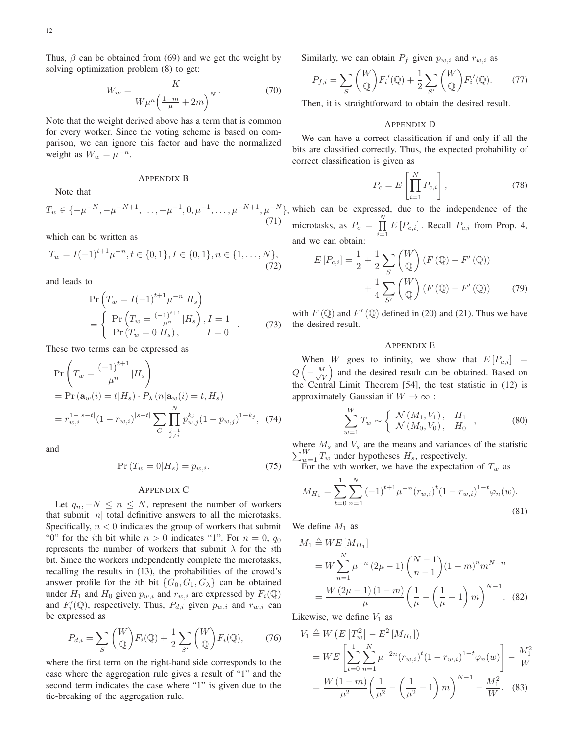Thus,  $\beta$  can be obtained from (69) and we get the weight by solving optimization problem (8) to get:

$$
W_w = \frac{K}{W\mu^n \left(\frac{1-m}{\mu} + 2m\right)^N}.
$$
\n(70)

Note that the weight derived above has a term that is common for every worker. Since the voting scheme is based on comparison, we can ignore this factor and have the normalized weight as  $W_w = \mu^{-n}$ .

#### APPENDIX B

Note that

$$
T_w \in \{-\mu^{-N}, -\mu^{-N+1}, \dots, -\mu^{-1}, 0, \mu^{-1}, \dots, \mu^{-N+1}, \mu^{-N}\},
$$
\n(71)

which can be written as

$$
T_w = I(-1)^{t+1} \mu^{-n}, t \in \{0, 1\}, I \in \{0, 1\}, n \in \{1, \dots, N\},\tag{72}
$$

and leads to

$$
\Pr\left(T_w = I(-1)^{t+1} \mu^{-n} | H_s\right) \n= \begin{cases}\n\Pr\left(T_w = \frac{(-1)^{t+1}}{\mu^n} | H_s\right), I = 1 \\
\Pr\left(T_w = 0 | H_s\right), I = 0\n\end{cases} (73)
$$

These two terms can be expressed as

$$
\Pr\left(T_w = \frac{(-1)^{t+1}}{\mu^n} | H_s\right)
$$
  
=  $\Pr\left(\mathbf{a}_w(i) = t | H_s\right) \cdot P_\lambda\left(n | \mathbf{a}_w(i) = t, H_s\right)$   
=  $r_{w,i}^{1-|s-t|} (1 - r_{w,i})^{|s-t|} \sum_{\substack{C} \substack{j=1 \ j \neq i}}^N p_{w,j}^{k_j} (1 - p_{w,j})^{1-k_j}, (74)$ 

and

$$
\Pr(T_w = 0 | H_s) = p_{w,i}.\tag{75}
$$

## APPENDIX C

Let  $q_n, -N \leq n \leq N$ , represent the number of workers that submit | $n$ | total definitive answers to all the microtasks. Specifically,  $n < 0$  indicates the group of workers that submit "0" for the *i*th bit while  $n > 0$  indicates "1". For  $n = 0$ ,  $q_0$ represents the number of workers that submit  $\lambda$  for the *i*th bit. Since the workers independently complete the microtasks, recalling the results in (13), the probabilities of the crowd's answer profile for the *i*th bit  $\{G_0, G_1, G_\lambda\}$  can be obtained under  $H_1$  and  $H_0$  given  $p_{w,i}$  and  $r_{w,i}$  are expressed by  $F_i(\mathbb{Q})$ and  $F'_{i}(\mathbb{Q})$ , respectively. Thus,  $P_{d,i}$  given  $p_{w,i}$  and  $r_{w,i}$  can be expressed as be expressed as

$$
P_{d,i} = \sum_{S} \binom{W}{\mathbb{Q}} F_i(\mathbb{Q}) + \frac{1}{2} \sum_{S'} \binom{W}{\mathbb{Q}} F_i(\mathbb{Q}), \qquad (76)
$$

where the first term on the right-hand side corresponds to the case where the aggregation rule gives a result of "1" and the second term indicates the case where "1" is given due to the tie-breaking of the aggregation rule.

Similarly, we can obtain  $P_f$  given  $p_{w,i}$  and  $r_{w,i}$  as

$$
P_{f,i} = \sum_{S} \binom{W}{\mathbb{Q}} F'_i(\mathbb{Q}) + \frac{1}{2} \sum_{S'} \binom{W}{\mathbb{Q}} F'_i(\mathbb{Q}). \tag{77}
$$

Then, it is straightforward to obtain the desired result.

## APPENDIX D

We can have a correct classification if and only if all the bits are classified correctly. Thus, the expected probability of correct classification is given as

$$
P_c = E\left[\prod_{i=1}^{N} P_{c,i}\right],\tag{78}
$$

which can be expressed, due to the independence of the microtasks, as  $P_c = \prod_{i=1}^{N}$  $\prod_{i=1} E[P_{c,i}]$ . Recall  $P_{c,i}$  from Prop. 4, and we can obtain:

$$
E[P_{c,i}] = \frac{1}{2} + \frac{1}{2} \sum_{S} {W \choose \mathbb{Q}} (F(\mathbb{Q}) - F'(\mathbb{Q})) + \frac{1}{4} \sum_{S'} {W \choose \mathbb{Q}} (F(\mathbb{Q}) - F'(\mathbb{Q})) \tag{79}
$$

with  $F(\mathbb{Q})$  and  $F'(\mathbb{Q})$  defined in (20) and (21). Thus we have the desired result.

## APPENDIX E

When W goes to infinity, we show that  $E[P_{c,i}] =$  $Q\left(-\frac{M}{\sqrt{\mathfrak{h}}}\right)$  $\left(\frac{d}{V}\right)$  and the desired result can be obtained. Based on the Central Limit Theorem [54], the test statistic in (12) is approximately Gaussian if  $W \to \infty$ :

$$
\sum_{w=1}^{W} T_w \sim \left\{ \begin{array}{ll} \mathcal{N}(M_1, V_1), & H_1 \\ \mathcal{N}(M_0, V_0), & H_0 \end{array} \right., \tag{80}
$$

 $\sum_{w=1}^{W} T_w$  under hypotheses  $H_s$ , respectively. where  $M_s$  and  $V_s$  are the means and variances of the statistic

For the wth worker, we have the expectation of  $T_w$  as

$$
M_{H_1} = \sum_{t=0}^{1} \sum_{n=1}^{N} (-1)^{t+1} \mu^{-n} (r_{w,i})^t (1 - r_{w,i})^{1-t} \varphi_n(w).
$$
\n(81)

We define  $M_1$  as

$$
M_1 \triangleq WE[M_{H_1}]
$$
  
=  $W \sum_{n=1}^{N} \mu^{-n} (2\mu - 1) {N-1 \choose n-1} (1-m)^n m^{N-n}$   
=  $\frac{W (2\mu - 1) (1-m)}{\mu} \left( \frac{1}{\mu} - \left( \frac{1}{\mu} - 1 \right) m \right)^{N-1}$ . (82)

Likewise, we define  $V_1$  as

$$
V_1 \triangleq W \left( E \left[ T_w^2 \right] - E^2 \left[ M_{H_1} \right] \right)
$$
  
=  $W E \left[ \sum_{t=0}^1 \sum_{n=1}^N \mu^{-2n} (r_{w,i})^t (1 - r_{w,i})^{1-t} \varphi_n(w) \right] - \frac{M_1^2}{W}$   
=  $\frac{W (1-m)}{\mu^2} \left( \frac{1}{\mu^2} - \left( \frac{1}{\mu^2} - 1 \right) m \right)^{N-1} - \frac{M_1^2}{W}$ . (83)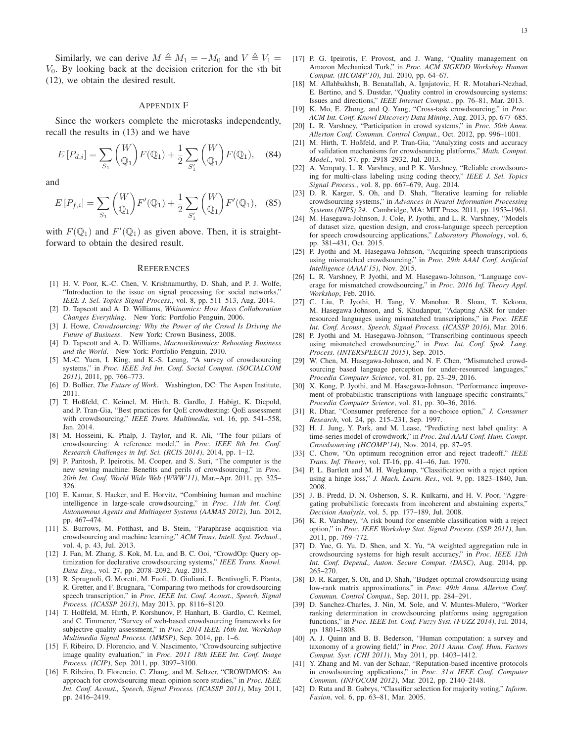Similarly, we can derive  $M \triangleq M_1 = -M_0$  and  $V \triangleq V_1 =$  $V_0$ . By looking back at the decision criterion for the *i*th bit (12), we obtain the desired result.

#### APPENDIX F

Since the workers complete the microtasks independently, recall the results in (13) and we have

$$
E[P_{d,i}] = \sum_{S_1} {W \choose \mathbb{Q}_1} F(\mathbb{Q}_1) + \frac{1}{2} \sum_{S'_1} {W \choose \mathbb{Q}_1} F(\mathbb{Q}_1), \quad (84)
$$

and

$$
E[P_{f,i}] = \sum_{S_1} {W \choose \mathbb{Q}_1} F'(\mathbb{Q}_1) + \frac{1}{2} \sum_{S'_1} {W \choose \mathbb{Q}_1} F'(\mathbb{Q}_1), \quad (85)
$$

with  $F(\mathbb{Q}_1)$  and  $F'(\mathbb{Q}_1)$  as given above. Then, it is straight-<br>forward to obtain the desired result forward to obtain the desired result.

#### **REFERENCES**

- [1] H. V. Poor, K.-C. Chen, V. Krishnamurthy, D. Shah, and P. J. Wolfe, "Introduction to the issue on signal processing for social networks," *IEEE J. Sel. Topics Signal Process.*, vol. 8, pp. 511–513, Aug. 2014.
- [2] D. Tapscott and A. D. Williams, *Wikinomics: How Mass Collaboration Changes Everything*. New York: Portfolio Penguin, 2006.
- [3] J. Howe, *Crowdsourcing: Why the Power of the Crowd Is Driving the Future of Business*. New York: Crown Business, 2008.
- [4] D. Tapscott and A. D. Williams, *Macrowikinomics: Rebooting Business and the World*. New York: Portfolio Penguin, 2010.
- [5] M.-C. Yuen, I. King, and K.-S. Leung, "A survey of crowdsourcing systems," in *Proc. IEEE 3rd Int. Conf. Social Comput. (SOCIALCOM 2011)*, 2011, pp. 766–773.
- [6] D. Bollier, *The Future of Work*. Washington, DC: The Aspen Institute, 2011.
- [7] T. Hoßfeld, C. Keimel, M. Hirth, B. Gardlo, J. Habigt, K. Diepold, and P. Tran-Gia, "Best practices for QoE crowdtesting: QoE assessment with crowdsourcing," *IEEE Trans. Multimedia*, vol. 16, pp. 541–558, Jan. 2014.
- [8] M. Hosseini, K. Phalp, J. Taylor, and R. Ali, "The four pillars of crowdsourcing: A reference model," in *Proc. IEEE 8th Int. Conf. Research Challenges in Inf. Sci. (RCIS 2014)*, 2014, pp. 1–12.
- [9] P. Paritosh, P. Ipeirotis, M. Cooper, and S. Suri, "The computer is the new sewing machine: Benefits and perils of crowdsourcing," in *Proc. 20th Int. Conf. World Wide Web (WWW'11)*, Mar.–Apr. 2011, pp. 325– 326.
- [10] E. Kamar, S. Hacker, and E. Horvitz, "Combining human and machine intelligence in large-scale crowdsourcing," in *Proc. 11th Int. Conf. Autonomous Agents and Multiagent Systems (AAMAS 2012)*, Jun. 2012, pp. 467–474.
- [11] S. Burrows, M. Potthast, and B. Stein, "Paraphrase acquisition via crowdsourcing and machine learning," *ACM Trans. Intell. Syst. Technol.*, vol. 4, p. 43, Jul. 2013.
- [12] J. Fan, M. Zhang, S. Kok, M. Lu, and B. C. Ooi, "CrowdOp: Query optimization for declarative crowdsourcing systems," *IEEE Trans. Knowl. Data Eng.*, vol. 27, pp. 2078–2092, Aug. 2015.
- [13] R. Sprugnoli, G. Moretti, M. Fuoli, D. Giuliani, L. Bentivogli, E. Pianta, R. Gretter, and F. Brugnara, "Comparing two methods for crowdsourcing speech transcription," in *Proc. IEEE Int. Conf. Acoust., Speech, Signal Process. (ICASSP 2013)*, May 2013, pp. 8116–8120.
- [14] T. Hoßfeld, M. Hirth, P. Korshunov, P. Hanhart, B. Gardlo, C. Keimel, and C. Timmerer, "Survey of web-based crowdsourcing frameworks for subjective quality assessment," in *Proc. 2014 IEEE 16th Int. Workshop Multimedia Signal Process. (MMSP)*, Sep. 2014, pp. 1–6.
- [15] F. Ribeiro, D. Florencio, and V. Nascimento, "Crowdsourcing subjective image quality evaluation," in *Proc. 2011 18th IEEE Int. Conf. Image Process. (ICIP)*, Sep. 2011, pp. 3097–3100.
- [16] F. Ribeiro, D. Florencio, C. Zhang, and M. Seltzer, "CROWDMOS: An approach for crowdsourcing mean opinion score studies," in *Proc. IEEE Int. Conf. Acoust., Speech, Signal Process. (ICASSP 2011)*, May 2011, pp. 2416–2419.
- [17] P. G. Ipeirotis, F. Provost, and J. Wang, "Quality management on Amazon Mechanical Turk," in *Proc. ACM SIGKDD Workshop Human Comput. (HCOMP'10)*, Jul. 2010, pp. 64–67.
- [18] M. Allahbakhsh, B. Benatallah, A. Ignjatovic, H. R. Motahari-Nezhad, E. Bertino, and S. Dustdar, "Quality control in crowdsourcing systems: Issues and directions," *IEEE Internet Comput.*, pp. 76–81, Mar. 2013.
- [19] K. Mo, E. Zhong, and Q. Yang, "Cross-task crowdsourcing," in *Proc. ACM Int. Conf. Knowl Discovery Data Mining*, Aug. 2013, pp. 677–685.
- [20] L. R. Varshney, "Participation in crowd systems," in *Proc. 50th Annu. Allerton Conf. Commun. Control Comput.*, Oct. 2012, pp. 996–1001.
- [21] M. Hirth, T. Hoßfeld, and P. Tran-Gia, "Analyzing costs and accuracy of validation mechanisms for crowdsourcing platforms," *Math. Comput. Model.*, vol. 57, pp. 2918–2932, Jul. 2013.
- [22] A. Vempaty, L. R. Varshney, and P. K. Varshney, "Reliable crowdsourcing for multi-class labeling using coding theory," *IEEE J. Sel. Topics Signal Process.*, vol. 8, pp. 667–679, Aug. 2014.
- [23] D. R. Karger, S. Oh, and D. Shah, "Iterative learning for reliable crowdsourcing systems," in *Advances in Neural Information Processing Systems (NIPS) 24*. Cambridge, MA: MIT Press, 2011, pp. 1953–1961.
- [24] M. Hasegawa-Johnson, J. Cole, P. Jyothi, and L. R. Varshney, "Models of dataset size, question design, and cross-language speech perception for speech crowdsourcing applications," *Laboratory Phonology*, vol. 6, pp. 381–431, Oct. 2015.
- [25] P. Jyothi and M. Hasegawa-Johnson, "Acquiring speech transcriptions using mismatched crowdsourcing," in *Proc. 29th AAAI Conf. Artificial Intelligence (AAAI'15)*, Nov. 2015.
- [26] L. R. Varshney, P. Jyothi, and M. Hasegawa-Johnson, "Language coverage for mismatched crowdsourcing," in *Proc. 2016 Inf. Theory Appl. Workshop*, Feb. 2016.
- [27] C. Liu, P. Jyothi, H. Tang, V. Manohar, R. Sloan, T. Kekona, M. Hasegawa-Johnson, and S. Khudanpur, "Adapting ASR for underresourced languages using mismatched transcriptions," in *Proc. IEEE Int. Conf. Acoust., Speech, Signal Process. (ICASSP 2016)*, Mar. 2016.
- [28] P. Jyothi and M. Hasegawa-Johnson, "Transcribing continuous speech using mismatched crowdsourcing," in *Proc. Int. Conf. Spok. Lang. Process. (INTERSPEECH 2015)*, Sep. 2015.
- [29] W. Chen, M. Hasegawa-Johnson, and N. F. Chen, "Mismatched crowdsourcing based language perception for under-resourced languages," *Procedia Computer Science*, vol. 81, pp. 23–29, 2016.
- [30] X. Kong, P. Jyothi, and M. Hasegawa-Johnson, "Performance improvement of probabilistic transcriptions with language-specific constraints," *Procedia Computer Science*, vol. 81, pp. 30–36, 2016.
- [31] R. Dhar, "Consumer preference for a no-choice option," *J. Consumer Research*, vol. 24, pp. 215–231, Sep. 1997.
- [32] H. J. Jung, Y. Park, and M. Lease, "Predicting next label quality: A time-series model of crowdwork," in *Proc. 2nd AAAI Conf. Hum. Compt. Crowdsourcing (HCOMP'14)*, Nov. 2014, pp. 87–95.
- [33] C. Chow, "On optimum recognition error and reject tradeoff," *IEEE Trans. Inf. Theory*, vol. IT-16, pp. 41–46, Jan. 1970.
- [34] P. L. Bartlett and M. H. Wegkamp, "Classification with a reject option using a hinge loss," *J. Mach. Learn. Res.*, vol. 9, pp. 1823–1840, Jun. 2008.
- [35] J. B. Predd, D. N. Osherson, S. R. Kulkarni, and H. V. Poor, "Aggregating probabilistic forecasts from incoherent and abstaining experts," *Decision Analysis*, vol. 5, pp. 177–189, Jul. 2008.
- [36] K. R. Varshney, "A risk bound for ensemble classification with a reject option," in *Proc. IEEE Workshop Stat. Signal Process. (SSP 2011)*, Jun. 2011, pp. 769–772.
- [37] D. Yue, G. Yu, D. Shen, and X. Yu, "A weighted aggregation rule in crowdsourcing systems for high result accuracy," in *Proc. IEEE 12th Int. Conf. Depend., Auton. Secure Comput. (DASC)*, Aug. 2014, pp. 265–270.
- [38] D. R. Karger, S. Oh, and D. Shah, "Budget-optimal crowdsourcing using low-rank matrix approximations," in *Proc. 49th Annu. Allerton Conf. Commun. Control Comput.*, Sep. 2011, pp. 284–291.
- [39] D. Sanchez-Charles, J. Nin, M. Sole, and V. Muntes-Mulero, "Worker ranking determination in crowdsourcing platforms using aggregation functions," in *Proc. IEEE Int. Conf. Fuzzy Syst. (FUZZ 2014)*, Jul. 2014, pp. 1801–1808.
- [40] A. J. Quinn and B. B. Bederson, "Human computation: a survey and taxonomy of a growing field," in *Proc. 2011 Annu. Conf. Hum. Factors Comput. Syst. (CHI 2011)*, May 2011, pp. 1403–1412.
- [41] Y. Zhang and M. van der Schaar, "Reputation-based incentive protocols in crowdsourcing applications," in *Proc. 31st IEEE Conf. Computer Commun. (INFOCOM 2012)*, Mar. 2012, pp. 2140–2148.
- [42] D. Ruta and B. Gabrys, "Classifier selection for majority voting," *Inform. Fusion*, vol. 6, pp. 63–81, Mar. 2005.